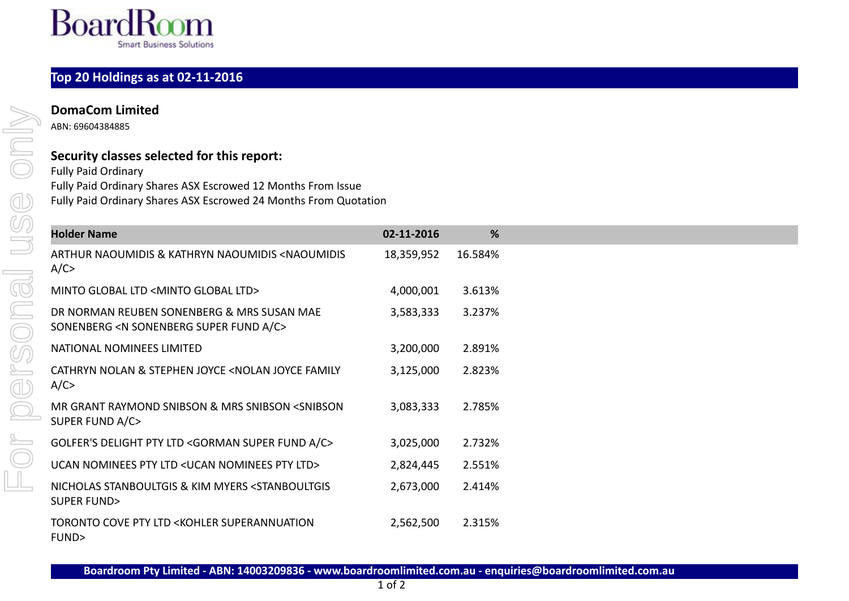

## **Top 20 Holdings as at 02-11-2016**

ABN: 69604384885

## **Security classes selected for this report:**

Fully Paid Ordinary Fully Paid Ordinary Shares ASX Escrowed 12 Months From Issue Fully Paid Ordinary Shares ASX Escrowed 24 Months From Quotation

| <b>Holder Name</b>                                                                                      | 02-11-2016 | %       |
|---------------------------------------------------------------------------------------------------------|------------|---------|
| ARTHUR NAOUMIDIS & KATHRYN NAOUMIDIS <naoumidis<br>A/C</naoumidis<br>                                   | 18,359,952 | 16.584% |
| MINTO GLOBAL LTD <minto global="" ltd=""></minto>                                                       | 4,000,001  | 3.613%  |
| DR NORMAN REUBEN SONENBERG & MRS SUSAN MAE<br>SONENBERG <n a="" c="" fund="" sonenberg="" super=""></n> | 3,583,333  | 3.237%  |
| NATIONAL NOMINEES LIMITED                                                                               | 3,200,000  | 2.891%  |
| CATHRYN NOLAN & STEPHEN JOYCE <nolan family<br="" joyce="">A/C</nolan>                                  | 3,125,000  | 2.823%  |
| MR GRANT RAYMOND SNIBSON & MRS SNIBSON <snibson<br>SUPER FUND A/C&gt;</snibson<br>                      | 3,083,333  | 2.785%  |
| GOLFER'S DELIGHT PTY LTD <gorman a="" c="" fund="" super=""></gorman>                                   | 3,025,000  | 2.732%  |
| UCAN NOMINEES PTY LTD < UCAN NOMINEES PTY LTD>                                                          | 2,824,445  | 2.551%  |
| NICHOLAS STANBOULTGIS & KIM MYERS <stanboultgis<br>SUPER FUND&gt;</stanboultgis<br>                     | 2,673,000  | 2.414%  |
| TORONTO COVE PTY LTD <kohler superannuation<br="">FUND&gt;</kohler>                                     | 2,562,500  | 2.315%  |